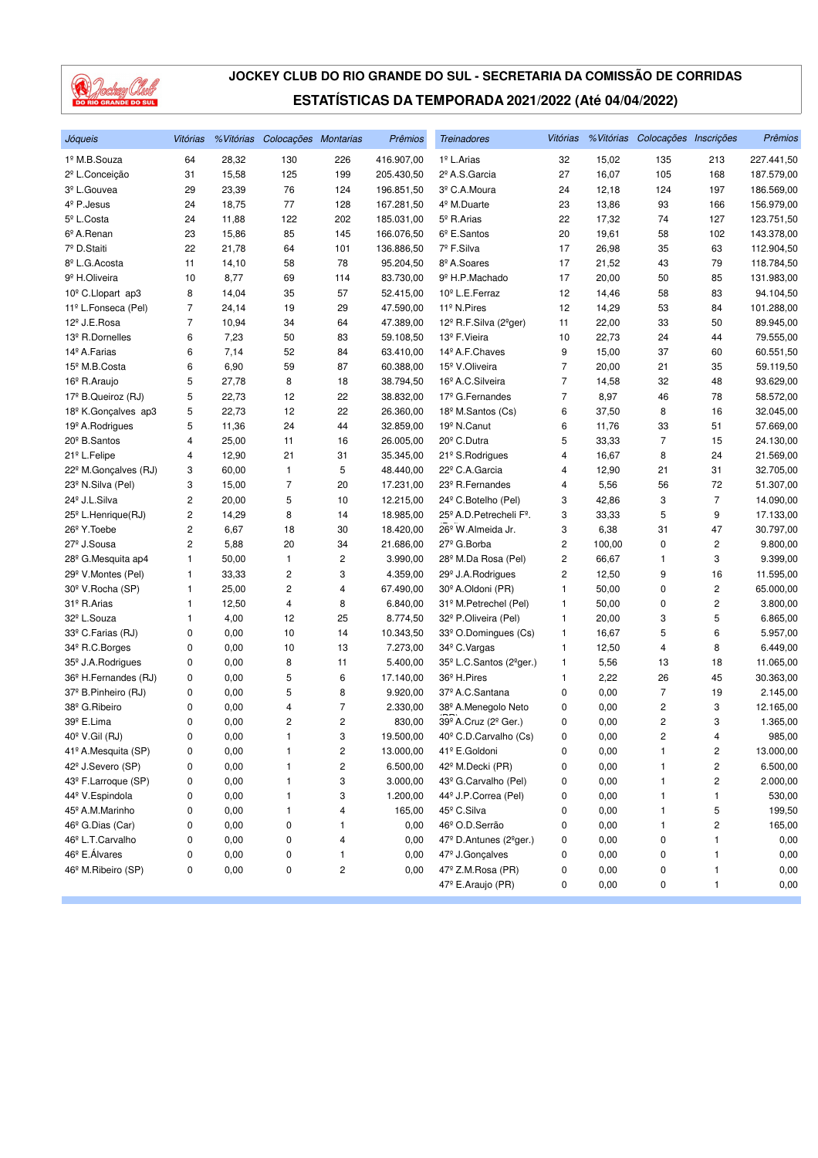

| Jóqueis                          | Vitórias       |       | % Vitórias Colocações Montarias |     | Prêmios    | <b>Treinadores</b>                               | Vitórias       |        | % Vitórias Colocações Inscrições |                         | Prêmios    |
|----------------------------------|----------------|-------|---------------------------------|-----|------------|--------------------------------------------------|----------------|--------|----------------------------------|-------------------------|------------|
| 1º M.B.Souza                     | 64             | 28,32 | 130                             | 226 | 416.907,00 | 1 <sup>º</sup> L.Arias                           | 32             | 15,02  | 135                              | 213                     | 227.441,50 |
| 2 <sup>º</sup> L.Conceição       | 31             | 15,58 | 125                             | 199 | 205.430,50 | 2º A.S.Garcia                                    | 27             | 16,07  | 105                              | 168                     | 187.579,00 |
| 3 <sup>º</sup> L.Gouvea          | 29             | 23,39 | 76                              | 124 | 196.851,50 | 3º C.A.Moura                                     | 24             | 12,18  | 124                              | 197                     | 186.569,00 |
| 4 <sup>º</sup> P.Jesus           | 24             | 18,75 | 77                              | 128 | 167.281,50 | 4 <sup>º</sup> M.Duarte                          | 23             | 13,86  | 93                               | 166                     | 156.979,00 |
| 5 <sup>°</sup> L.Costa           | 24             | 11,88 | 122                             | 202 | 185.031,00 | 5 <sup>°</sup> R.Arias                           | 22             | 17,32  | 74                               | 127                     | 123.751,50 |
| 6º A.Renan                       | 23             | 15,86 | 85                              | 145 | 166.076,50 | $6^{\circ}$ E.Santos                             | 20             | 19,61  | 58                               | 102                     | 143.378,00 |
| 7º D.Staiti                      | 22             | 21,78 | 64                              | 101 | 136.886,50 | 7º F.Silva                                       | 17             | 26,98  | 35                               | 63                      | 112.904,50 |
| 8º L.G. Acosta                   | 11             | 14,10 | 58                              | 78  | 95.204,50  | 8º A.Soares                                      | 17             | 21,52  | 43                               | 79                      | 118.784,50 |
| 9 <sup>º</sup> H.Oliveira        | 10             | 8,77  | 69                              | 114 | 83.730,00  | 9º H.P.Machado                                   | 17             | 20,00  | 50                               | 85                      | 131.983,00 |
| 10 <sup>°</sup> C.Llopart ap3    | 8              | 14,04 | 35                              | 57  | 52.415,00  | 10 <sup>°</sup> L.E.Ferraz                       | 12             | 14,46  | 58                               | 83                      | 94.104,50  |
| 11º L.Fonseca (Pel)              | 7              | 24,14 | 19                              | 29  | 47.590,00  | 11 <sup>º</sup> N.Pires                          | 12             | 14,29  | 53                               | 84                      | 101.288,00 |
| 12 <sup>º</sup> J.E.Rosa         | $\overline{7}$ | 10,94 | 34                              | 64  | 47.389,00  | 12º R.F.Silva (2ºger)                            | 11             | 22,00  | 33                               | 50                      | 89.945,00  |
| 13 <sup>º</sup> R.Dornelles      | 6              | 7,23  | 50                              | 83  | 59.108,50  | 13º F.Vieira                                     | 10             | 22,73  | 24                               | 44                      | 79.555,00  |
| 14 <sup>º</sup> A. Farias        | 6              | 7,14  | 52                              | 84  | 63.410,00  | 14º A.F.Chaves                                   | 9              | 15,00  | 37                               | 60                      | 60.551,50  |
| 15 <sup>°</sup> M.B.Costa        | 6              | 6,90  | 59                              | 87  | 60.388,00  | 15 <sup>º</sup> V.Oliveira                       | 7              | 20,00  | 21                               | 35                      | 59.119,50  |
| 16 <sup>°</sup> R.Araujo         | 5              | 27,78 | 8                               | 18  | 38.794,50  | 16 <sup>º</sup> A.C.Silveira                     | $\overline{7}$ | 14,58  | 32                               | 48                      | 93.629,00  |
| 17º B.Queiroz (RJ)               | 5              | 22,73 | 12                              | 22  | 38.832,00  | 17 <sup>º</sup> G.Fernandes                      | $\overline{7}$ | 8,97   | 46                               | 78                      | 58.572,00  |
| 18 <sup>º</sup> K.Gonçalves ap3  | 5              | 22,73 | 12                              | 22  | 26.360,00  | 18 <sup>º</sup> M.Santos (Cs)                    | 6              | 37,50  | 8                                | 16                      | 32.045,00  |
| 19 <sup>°</sup> A.Rodrigues      | 5              | 11,36 | 24                              | 44  | 32.859,00  | 19 <sup>º</sup> N.Canut                          | 6              | 11,76  | 33                               | 51                      | 57.669,00  |
| 20 <sup>°</sup> B.Santos         | 4              | 25,00 | 11                              | 16  | 26.005,00  | 20 <sup>°</sup> C.Dutra                          | 5              | 33,33  | $\overline{7}$                   | 15                      | 24.130,00  |
| 21º L.Felipe                     | 4              | 12,90 | 21                              | 31  | 35.345,00  | 21 <sup>°</sup> S.Rodrigues                      | 4              | 16,67  | 8                                | 24                      | 21.569,00  |
| 22 <sup>°</sup> M.Gonçalves (RJ) | 3              | 60,00 | 1                               | 5   | 48.440,00  | 22º C.A.Garcia                                   | 4              | 12,90  | 21                               | 31                      | 32.705,00  |
| 23º N.Silva (Pel)                | 3              | 15,00 | $\overline{7}$                  | 20  | 17.231,00  | 23 <sup>°</sup> R.Fernandes                      | 4              | 5,56   | 56                               | 72                      | 51.307,00  |
| 24 <sup>º</sup> J.L.Silva        | 2              | 20,00 | 5                               | 10  | 12.215,00  | 24 <sup>°</sup> C.Botelho (Pel)                  | 3              | 42,86  | 3                                | $\overline{7}$          | 14.090,00  |
| 25 <sup>°</sup> L.Henrique(RJ)   | 2              | 14,29 | 8                               | 14  | 18.985,00  | 25 <sup>°</sup> A.D. Petrecheli F <sup>°</sup> . | 3              | 33,33  | 5                                | 9                       | 17.133,00  |
| 26 <sup>°</sup> Y.Toebe          | 2              | 6,67  | 18                              | 30  | 18.420,00  | 26 <sup>°</sup> W.Almeida Jr.                    | 3              | 6,38   | 31                               | 47                      | 30.797,00  |
| 27 <sup>º</sup> J.Sousa          | 2              | 5,88  | 20                              | 34  | 21.686,00  | 27 <sup>°</sup> G.Borba                          | 2              | 100,00 | 0                                | 2                       | 9.800,00   |
| 28 <sup>°</sup> G.Mesquita ap4   | 1              | 50,00 | 1                               | 2   | 3.990,00   | 28 <sup>°</sup> M.Da Rosa (Pel)                  | 2              | 66,67  | 1                                | 3                       | 9.399,00   |
| 29 <sup>°</sup> V.Montes (Pel)   | 1              | 33,33 | 2                               | 3   | 4.359,00   | 29 <sup>°</sup> J.A.Rodrigues                    | 2              | 12,50  | 9                                | 16                      | 11.595,00  |
| 30 <sup>°</sup> V.Rocha (SP)     | 1              | 25,00 | $\overline{c}$                  | 4   | 67.490,00  | 30 <sup>°</sup> A.Oldoni (PR)                    | 1              | 50,00  | 0                                | 2                       | 65.000,00  |
| 31º R.Arias                      | 1              | 12,50 | 4                               | 8   | 6.840,00   | 31º M.Petrechel (Pel)                            | 1              | 50,00  | 0                                | 2                       | 3.800,00   |
| 32 <sup>º</sup> L.Souza          | 1              | 4,00  | 12                              | 25  | 8.774,50   | 32 <sup>°</sup> P.Oliveira (Pel)                 | 1              | 20,00  | 3                                | 5                       | 6.865,00   |
| 33º C.Farias (RJ)                | 0              | 0,00  | 10                              | 14  | 10.343,50  | 33º O.Domingues (Cs)                             | 1              | 16,67  | 5                                | 6                       | 5.957,00   |
| 34 <sup>°</sup> R.C.Borges       | 0              | 0,00  | 10                              | 13  | 7.273,00   | 34 <sup>°</sup> C. Vargas                        | 1              | 12,50  | 4                                | 8                       | 6.449,00   |
| 35 <sup>°</sup> J.A.Rodrigues    | 0              | 0,00  | 8                               | 11  | 5.400,00   | 35 <sup>°</sup> L.C.Santos (2 <sup>°</sup> ger.) | 1              | 5,56   | 13                               | 18                      | 11.065,00  |
| 36 <sup>°</sup> H.Fernandes (RJ) | 0              | 0,00  | 5                               | 6   | 17.140,00  | 36 <sup>°</sup> H.Pires                          | 1              | 2,22   | 26                               | 45                      | 30.363,00  |
| 37º B.Pinheiro (RJ)              | 0              | 0,00  | 5                               | 8   | 9.920,00   | 37º A.C.Santana                                  | 0              | 0,00   | 7                                | 19                      | 2.145,00   |
| 38º G.Ribeiro                    | 0              | 0,00  | 4                               | 7   | 2.330,00   | 38º A.Menegolo Neto                              | 0              | 0,00   | 2                                | 3                       | 12.165,00  |
| 39º E.Lima                       | 0              | 0,00  | 2                               | 2   | 830,00     | 39º A.Cruz (2º Ger.)                             | 0              | 0,00   | 2                                | 3                       | 1.365,00   |
| 40° V.Gil (RJ)                   | 0              | 0,00  | 1                               | 3   | 19.500,00  | 40 <sup>°</sup> C.D.Carvalho (Cs)                | 0              | 0,00   | 2                                | 4                       | 985,00     |
| 41º A.Mesquita (SP)              | 0              | 0,00  | 1                               | 2   | 13.000,00  | 41º E.Goldoni                                    | 0              | 0,00   | 1                                | 2                       | 13.000,00  |
| 42 <sup>°</sup> J.Severo (SP)    | 0              | 0,00  | 1                               | 2   | 6.500,00   | 42 <sup>º</sup> M.Decki (PR)                     | 0              | 0,00   | 1                                | $\overline{\mathbf{c}}$ | 6.500,00   |
| 43º F.Larroque (SP)              | 0              | 0,00  | 1                               | 3   | 3.000,00   | 43º G.Carvalho (Pel)                             | 0              | 0,00   | 1                                | 2                       | 2.000,00   |
| 44 <sup>º</sup> V.Espindola      | 0              | 0,00  | 1                               | 3   | 1.200,00   | 44º J.P.Correa (Pel)                             | 0              | 0,00   | 1                                | 1                       | 530,00     |
| 45 <sup>°</sup> A.M.Marinho      | 0              | 0,00  | 1                               | 4   | 165,00     | 45 <sup>°</sup> C.Silva                          | 0              | 0,00   | 1                                | 5                       | 199,50     |
| 46 <sup>°</sup> G.Dias (Car)     | 0              | 0,00  | 0                               | 1   | 0,00       | 46º O.D.Serrão                                   | 0              | 0,00   | 1                                | $\overline{\mathbf{c}}$ | 165,00     |
| 46º L.T.Carvalho                 | 0              | 0,00  | 0                               | 4   | 0,00       | 47º D.Antunes (2ºger.)                           | 0              | 0,00   | 0                                | 1                       | 0,00       |
| 46 <sup>°</sup> E. Álvares       | 0              | 0,00  | 0                               | 1   | 0,00       | 47 <sup>°</sup> J.Gonçalves                      | 0              | 0,00   | 0                                | 1                       | 0,00       |
| 46 <sup>°</sup> M.Ribeiro (SP)   | 0              | 0,00  | 0                               | 2   | 0,00       | 47º Z.M.Rosa (PR)                                | 0              | 0,00   | 0                                | $\mathbf{1}$            | 0,00       |
|                                  |                |       |                                 |     |            | 47º E.Araujo (PR)                                | 0              | 0,00   | 0                                | 1                       | 0,00       |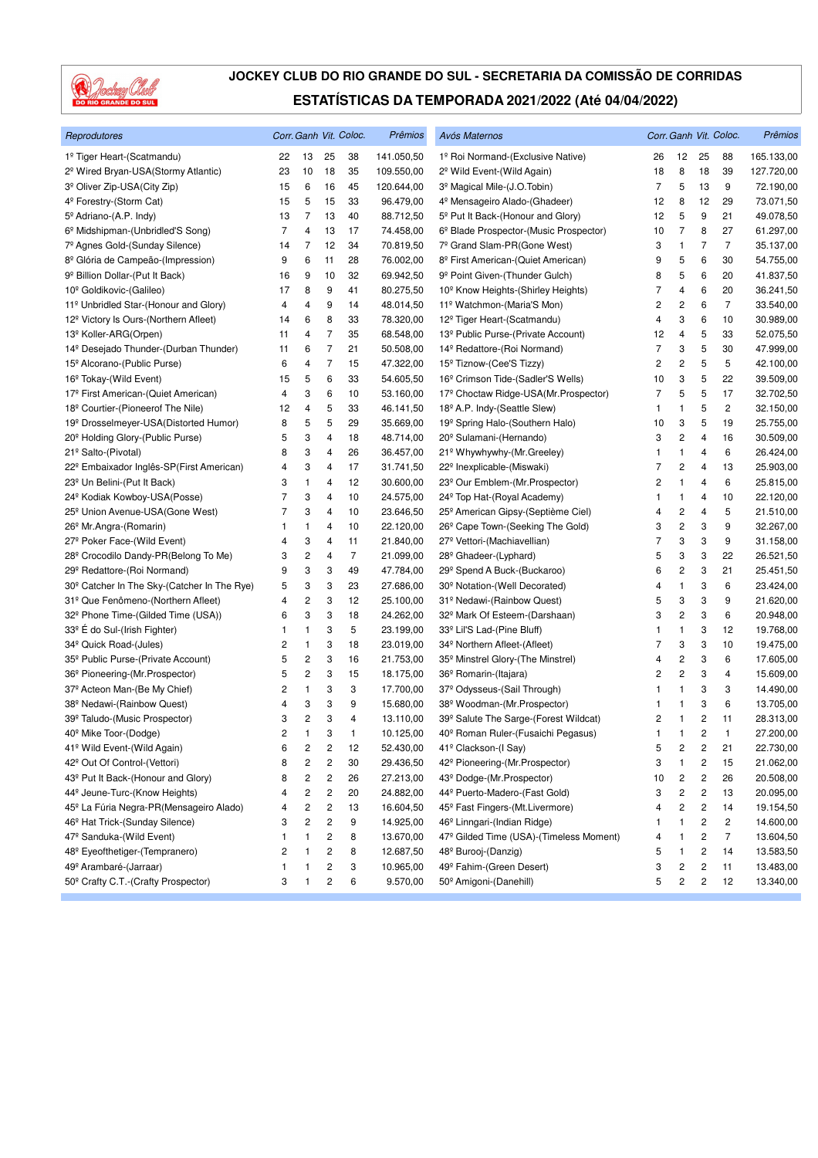

| Reprodutores                                         |                |                         |                         | Corr. Ganh Vit. Coloc. | Prêmios    | Avós Maternos                                  |    |                         |                         | Corr. Ganh Vit. Coloc. | Prêmios    |
|------------------------------------------------------|----------------|-------------------------|-------------------------|------------------------|------------|------------------------------------------------|----|-------------------------|-------------------------|------------------------|------------|
| 1º Tiger Heart-(Scatmandu)                           | 22             | 13                      | 25                      | 38                     | 141.050,50 | 1º Roi Normand-(Exclusive Native)              | 26 | 12                      | 25                      | 88                     | 165.133,00 |
| 2 <sup>º</sup> Wired Bryan-USA(Stormy Atlantic)      | 23             | 10                      | 18                      | 35                     | 109.550,00 | 2 <sup>°</sup> Wild Event-(Wild Again)         | 18 | 8                       | 18                      | 39                     | 127.720,00 |
| 3 <sup>º</sup> Oliver Zip-USA(City Zip)              | 15             | 6                       | 16                      | 45                     | 120.644,00 | 3 <sup>º</sup> Magical Mile-(J.O.Tobin)        | 7  | 5                       | 13                      | 9                      | 72.190,00  |
| 4º Forestry-(Storm Cat)                              | 15             | 5                       | 15                      | 33                     | 96.479,00  | 4 <sup>º</sup> Mensageiro Alado-(Ghadeer)      | 12 | 8                       | 12                      | 29                     | 73.071,50  |
| 5º Adriano-(A.P. Indy)                               | 13             | 7                       | 13                      | 40                     | 88.712,50  | 5 <sup>°</sup> Put It Back-(Honour and Glory)  | 12 | 5                       | 9                       | 21                     | 49.078,50  |
| 6 <sup>°</sup> Midshipman-(Unbridled'S Song)         | 7              | 4                       | 13                      | 17                     | 74.458,00  | 6º Blade Prospector-(Music Prospector)         | 10 | $\overline{7}$          | 8                       | 27                     | 61.297,00  |
| 7º Agnes Gold-(Sunday Silence)                       | 14             | 7                       | 12                      | 34                     | 70.819,50  | 7º Grand Slam-PR(Gone West)                    | 3  | $\mathbf{1}$            | 7                       | $\overline{7}$         | 35.137,00  |
| 8 <sup>º</sup> Glória de Campeão-(Impression)        | 9              | 6                       | 11                      | 28                     | 76.002,00  | 8 <sup>°</sup> First American-(Quiet American) | 9  | 5                       | 6                       | 30                     | 54.755,00  |
| 9 <sup>º</sup> Billion Dollar-(Put It Back)          | 16             | 9                       | 10                      | 32                     | 69.942,50  | 9 <sup>º</sup> Point Given-(Thunder Gulch)     | 8  | 5                       | 6                       | 20                     | 41.837,50  |
| 10 <sup>°</sup> Goldikovic-(Galileo)                 | 17             | 8                       | 9                       | 41                     | 80.275,50  | 10 <sup>°</sup> Know Heights-(Shirley Heights) | 7  | 4                       | 6                       | 20                     | 36.241,50  |
| 11º Unbridled Star-(Honour and Glory)                | 4              | 4                       | 9                       | 14                     | 48.014,50  | 11º Watchmon-(Maria'S Mon)                     | 2  | 2                       | 6                       | $\overline{7}$         | 33.540,00  |
| 12 <sup>°</sup> Victory Is Ours-(Northern Afleet)    | 14             | 6                       | 8                       | 33                     | 78.320,00  | 12 <sup>º</sup> Tiger Heart-(Scatmandu)        | 4  | 3                       | 6                       | 10                     | 30.989,00  |
| 13 <sup>º</sup> Koller-ARG(Orpen)                    | 11             | 4                       | 7                       | 35                     | 68.548,00  | 13º Public Purse-(Private Account)             | 12 | 4                       | 5                       | 33                     | 52.075,50  |
| 14 <sup>°</sup> Desejado Thunder-(Durban Thunder)    | 11             | 6                       | 7                       | 21                     | 50.508,00  | 14º Redattore-(Roi Normand)                    | 7  | 3                       | 5                       | 30                     | 47.999,00  |
| 15 <sup>°</sup> Alcorano-(Public Purse)              | 6              | 4                       | 7                       | 15                     | 47.322,00  | 15 <sup>°</sup> Tiznow-(Cee'S Tizzy)           | 2  | 2                       | 5                       | 5                      | 42.100,00  |
| 16 <sup>°</sup> Tokay-(Wild Event)                   | 15             | 5                       | 6                       | 33                     | 54.605,50  | 16 <sup>°</sup> Crimson Tide-(Sadler'S Wells)  | 10 | 3                       | 5                       | 22                     | 39.509,00  |
| 17º First American-(Quiet American)                  | 4              | 3                       | 6                       | 10                     | 53.160,00  | 17º Choctaw Ridge-USA(Mr.Prospector)           | 7  | 5                       | 5                       | 17                     | 32.702,50  |
| 18 <sup>°</sup> Courtier-(Pioneerof The Nile)        | 12             | 4                       | 5                       | 33                     | 46.141,50  | 18 <sup>°</sup> A.P. Indy-(Seattle Slew)       | 1  | 1                       | 5                       | 2                      | 32.150,00  |
| 19 <sup>º</sup> Drosselmeyer-USA(Distorted Humor)    | 8              | 5                       | 5                       | 29                     | 35.669,00  | 19º Spring Halo-(Southern Halo)                | 10 | 3                       | 5                       | 19                     | 25.755,00  |
| 20 <sup>°</sup> Holding Glory-(Public Purse)         | 5              | 3                       | 4                       | 18                     | 48.714,00  | 20 <sup>°</sup> Sulamani-(Hernando)            | 3  | 2                       | 4                       | 16                     | 30.509,00  |
| 21º Salto-(Pivotal)                                  | 8              | 3                       | 4                       | 26                     | 36.457,00  | 21º Whywhywhy-(Mr.Greeley)                     | 1  | $\mathbf{1}$            | 4                       | 6                      | 26.424,00  |
| 22 <sup>°</sup> Embaixador Inglês-SP(First American) | 4              | 3                       | 4                       | 17                     | 31.741,50  | 22 <sup>°</sup> Inexplicable-(Miswaki)         | 7  | 2                       | 4                       | 13                     | 25.903,00  |
| 23 <sup>°</sup> Un Belini-(Put It Back)              | 3              | 1                       | 4                       | 12                     | 30.600,00  | 23 <sup>°</sup> Our Emblem-(Mr. Prospector)    | 2  | 1                       | 4                       | 6                      | 25.815,00  |
| 24 <sup>°</sup> Kodiak Kowboy-USA(Posse)             | 7              | 3                       | 4                       | 10                     | 24.575,00  | 24 <sup>°</sup> Top Hat-(Royal Academy)        | 1  | $\mathbf{1}$            | 4                       | 10                     | 22.120,00  |
| 25 <sup>°</sup> Union Avenue-USA(Gone West)          | 7              | 3                       | 4                       | 10                     | 23.646,50  | 25 <sup>°</sup> American Gipsy-(Septième Ciel) | 4  | 2                       | 4                       | 5                      | 21.510,00  |
| 26 <sup>°</sup> Mr.Angra-(Romarin)                   | 1              | 1                       | 4                       | 10                     | 22.120,00  | 26 <sup>°</sup> Cape Town-(Seeking The Gold)   | 3  | $\overline{\mathbf{c}}$ | 3                       | 9                      | 32.267,00  |
| 27 <sup>°</sup> Poker Face-(Wild Event)              | 4              | 3                       | 4                       | 11                     | 21.840,00  | 27º Vettori-(Machiavellian)                    | 7  | 3                       | 3                       | 9                      | 31.158,00  |
| 28 <sup>°</sup> Crocodilo Dandy-PR(Belong To Me)     | 3              | 2                       | 4                       | $\overline{7}$         | 21.099,00  | 28 <sup>°</sup> Ghadeer-(Lyphard)              | 5  | 3                       | 3                       | 22                     | 26.521,50  |
| 29 <sup>°</sup> Redattore-(Roi Normand)              | 9              | 3                       | 3                       | 49                     | 47.784,00  | 29 <sup>°</sup> Spend A Buck-(Buckaroo)        | 6  | 2                       | 3                       | 21                     | 25.451,50  |
| 30° Catcher In The Sky-(Catcher In The Rye)          | 5              | 3                       | 3                       | 23                     | 27.686,00  | 30 <sup>°</sup> Notation-(Well Decorated)      | 4  | $\mathbf{1}$            | 3                       | 6                      | 23.424,00  |
| 31º Que Fenômeno-(Northern Afleet)                   | 4              | $\overline{\mathbf{c}}$ | 3                       | 12                     | 25.100,00  | 31º Nedawi-(Rainbow Quest)                     | 5  | 3                       | 3                       | 9                      | 21.620,00  |
| 32º Phone Time-(Gilded Time (USA))                   | 6              | 3                       | 3                       | 18                     | 24.262,00  | 32 <sup>°</sup> Mark Of Esteem-(Darshaan)      | 3  | 2                       | 3                       | 6                      | 20.948,00  |
| 33º É do Sul-(Irish Fighter)                         | 1              | 1                       | 3                       | 5                      | 23.199,00  | 33º Lil'S Lad-(Pine Bluff)                     | 1  | 1                       | 3                       | 12                     | 19.768,00  |
| 34 <sup>°</sup> Quick Road-(Jules)                   | 2              | 1                       | 3                       | 18                     | 23.019,00  | 34 <sup>°</sup> Northern Afleet-(Afleet)       | 7  | 3                       | 3                       | 10                     | 19.475,00  |
| 35 <sup>°</sup> Public Purse-(Private Account)       | 5              | 2                       | 3                       | 16                     | 21.753,00  | 35 <sup>°</sup> Minstrel Glory-(The Minstrel)  | 4  | 2                       | 3                       | 6                      | 17.605,00  |
| 36 <sup>°</sup> Pioneering-(Mr.Prospector)           | 5              | 2                       | 3                       | 15                     | 18.175,00  | 36 <sup>°</sup> Romarin-(Itajara)              | 2  | 2                       | 3                       | $\overline{4}$         | 15.609,00  |
| 37º Acteon Man-(Be My Chief)                         | 2              | 1                       | 3                       | 3                      | 17.700,00  | 37 <sup>°</sup> Odysseus-(Sail Through)        | 1  | 1                       | 3                       | 3                      | 14.490,00  |
| 38º Nedawi-(Rainbow Quest)                           | 4              | 3                       | 3                       | 9                      | 15.680,00  | 38º Woodman-(Mr.Prospector)                    | 1  | $\mathbf{1}$            | 3                       | 6                      | 13.705,00  |
| 39º Taludo-(Music Prospector)                        | 3              | 2                       | 3                       | 4                      | 13.110,00  | 39º Salute The Sarge-(Forest Wildcat)          | 2  | $\mathbf{1}$            | $\overline{\mathbf{c}}$ | 11                     | 28.313,00  |
| 40 <sup>°</sup> Mike Toor-(Dodge)                    | $\overline{c}$ | 1                       | 3                       | 1                      | 10.125,00  | 40 <sup>°</sup> Roman Ruler-(Fusaichi Pegasus) | 1  | $\mathbf{1}$            | 2                       | $\mathbf{1}$           | 27.200,00  |
| 41º Wild Event-(Wild Again)                          | 6              | 2                       | $\overline{\mathbf{c}}$ | 12                     | 52.430,00  | 41º Clackson-(I Say)                           | 5  | $\overline{\mathbf{c}}$ | $\sqrt{2}$              | 21                     | 22.730,00  |
| 42º Out Of Control-(Vettori)                         | 8              | 2                       | 2                       | 30                     | 29.436,50  | 42º Pioneering-(Mr.Prospector)                 | 3  | 1                       | 2                       | 15                     | 21.062,00  |
| 43 <sup>°</sup> Put It Back-(Honour and Glory)       | 8              | 2                       | 2                       | 26                     | 27.213,00  | 43º Dodge-(Mr.Prospector)                      | 10 | 2                       | $\overline{\mathbf{c}}$ | 26                     | 20.508,00  |
| 44 <sup>°</sup> Jeune-Turc-(Know Heights)            | 4              | 2                       | 2                       | 20                     | 24.882,00  | 44º Puerto-Madero-(Fast Gold)                  | 3  | 2                       | $\overline{\mathbf{c}}$ | 13                     | 20.095,00  |
| 45 <sup>°</sup> La Fúria Negra-PR(Mensageiro Alado)  | 4              | 2                       | $\overline{\mathbf{c}}$ | 13                     | 16.604,50  | 45 <sup>°</sup> Fast Fingers-(Mt.Livermore)    | 4  | $\mathbf 2$             | $\sqrt{2}$              | 14                     | 19.154,50  |
| 46 <sup>°</sup> Hat Trick-(Sunday Silence)           | 3              | 2                       | $\overline{\mathbf{c}}$ | 9                      | 14.925,00  | 46 <sup>°</sup> Linngari-(Indian Ridge)        | 1  | 1                       | $\boldsymbol{2}$        | 2                      | 14.600,00  |
| 47º Sanduka-(Wild Event)                             | 1              | 1                       | 2                       | 8                      | 13.670,00  | 47º Gilded Time (USA)-(Timeless Moment)        | 4  | 1                       | $\overline{\mathbf{c}}$ | 7                      | 13.604,50  |
| 48º Eyeofthetiger-(Tempranero)                       | 2              | 1                       | 2                       | 8                      | 12.687,50  | 48 <sup>°</sup> Burooj-(Danzig)                | 5  | 1                       | 2                       | 14                     | 13.583,50  |
| 49º Arambaré-(Jarraar)                               | 1              |                         | 2                       | 3                      | 10.965,00  | 49º Fahim-(Green Desert)                       | 3  | 2                       | 2                       | 11                     | 13.483,00  |
| 50 <sup>°</sup> Crafty C.T.-(Crafty Prospector)      | 3              | 1                       | $\overline{c}$          | 6                      | 9.570,00   | 50 <sup>°</sup> Amigoni-(Danehill)             | 5  | 2                       | $\sqrt{2}$              | 12                     | 13.340,00  |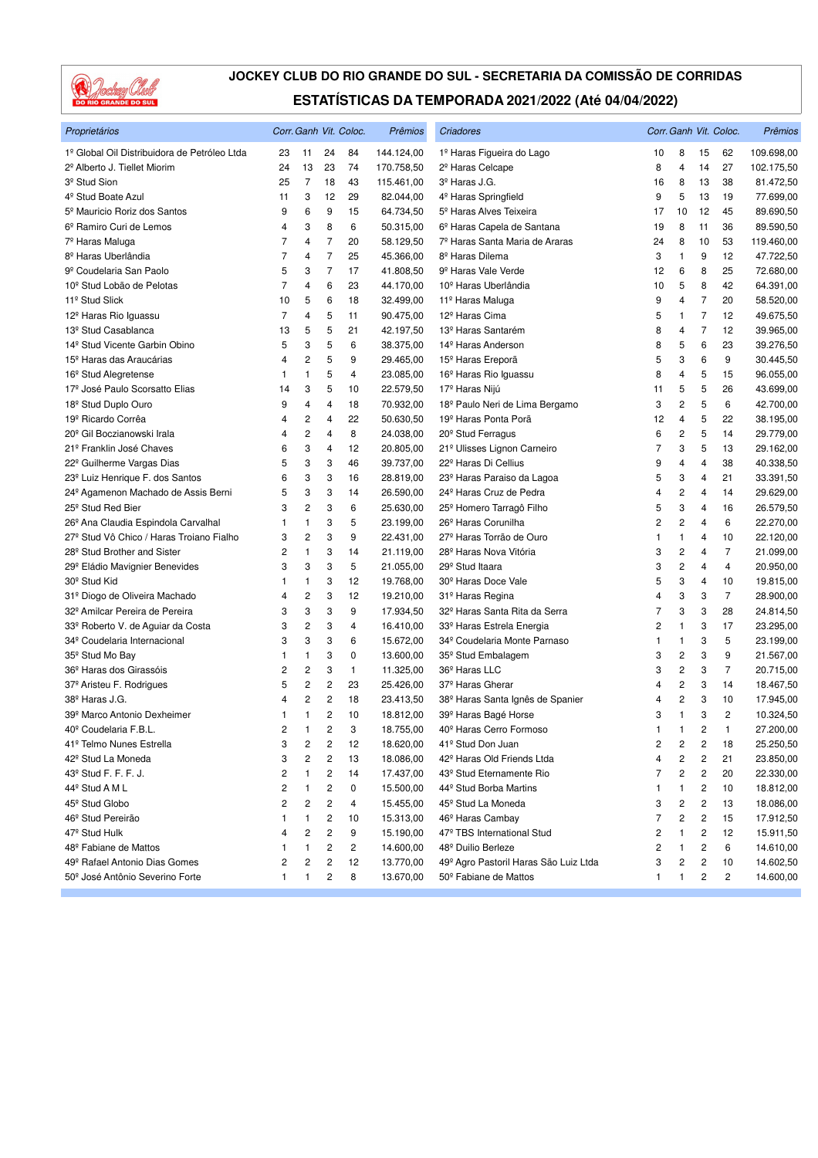

| Proprietários                                   |                         |                         |                         | Corr. Ganh Vit. Coloc. | Prêmios    | Criadores                                    |    |                         |                | Corr. Ganh Vit. Coloc. | Prêmios    |
|-------------------------------------------------|-------------------------|-------------------------|-------------------------|------------------------|------------|----------------------------------------------|----|-------------------------|----------------|------------------------|------------|
| 1º Global Oil Distribuidora de Petróleo Ltda    | 23                      | 11                      | 24                      | 84                     | 144.124,00 | 1º Haras Figueira do Lago                    | 10 | 8                       | 15             | 62                     | 109.698,00 |
| 2º Alberto J. Tiellet Miorim                    | 24                      | 13                      | 23                      | 74                     | 170.758,50 | 2 <sup>º</sup> Haras Celcape                 | 8  | 4                       | 14             | 27                     | 102.175,50 |
| 3 <sup>º</sup> Stud Sion                        | 25                      | $\overline{7}$          | 18                      | 43                     | 115.461,00 | 3 <sup>º</sup> Haras J.G.                    | 16 | 8                       | 13             | 38                     | 81.472,50  |
| 4 <sup>º</sup> Stud Boate Azul                  | 11                      | 3                       | 12                      | 29                     | 82.044,00  | 4 <sup>º</sup> Haras Springfield             | 9  | 5                       | 13             | 19                     | 77.699,00  |
| 5 <sup>º</sup> Mauricio Roriz dos Santos        | 9                       | 6                       | 9                       | 15                     | 64.734,50  | 5 <sup>°</sup> Haras Alves Teixeira          | 17 | 10                      | 12             | 45                     | 89.690,50  |
| 6º Ramiro Curi de Lemos                         | 4                       | 3                       | 8                       | 6                      | 50.315,00  | 6º Haras Capela de Santana                   | 19 | 8                       | 11             | 36                     | 89.590,50  |
| 7 <sup>º</sup> Haras Maluga                     | 7                       | 4                       | $\overline{7}$          | 20                     | 58.129,50  | 7º Haras Santa Maria de Araras               | 24 | 8                       | 10             | 53                     | 119.460,00 |
| 8 <sup>º</sup> Haras Uberlândia                 | 7                       | 4                       | $\overline{7}$          | 25                     | 45.366,00  | 8º Haras Dilema                              | 3  | $\mathbf{1}$            | 9              | 12                     | 47.722,50  |
| 9º Coudelaria San Paolo                         | 5                       | 3                       | $\overline{7}$          | 17                     | 41.808,50  | 9 <sup>º</sup> Haras Vale Verde              | 12 | 6                       | 8              | 25                     | 72.680,00  |
| 10 <sup>°</sup> Stud Lobão de Pelotas           | $\overline{7}$          | 4                       | 6                       | 23                     | 44.170,00  | 10 <sup>°</sup> Haras Uberlândia             | 10 | 5                       | 8              | 42                     | 64.391,00  |
| 11 <sup>º</sup> Stud Slick                      | 10                      | 5                       | 6                       | 18                     | 32.499,00  | 11 <sup>º</sup> Haras Maluga                 | 9  | 4                       | $\overline{7}$ | 20                     | 58.520,00  |
| 12 <sup>º</sup> Haras Rio Iguassu               | $\overline{7}$          | 4                       | 5                       | 11                     | 90.475,00  | 12 <sup>º</sup> Haras Cima                   | 5  | $\mathbf{1}$            | $\overline{7}$ | 12                     | 49.675,50  |
| 13 <sup>º</sup> Stud Casablanca                 | 13                      | 5                       | 5                       | 21                     | 42.197,50  | 13º Haras Santarém                           | 8  | 4                       | 7              | 12                     | 39.965,00  |
| 14 <sup>º</sup> Stud Vicente Garbin Obino       | 5                       | 3                       | 5                       | 6                      | 38.375,00  | 14 <sup>°</sup> Haras Anderson               | 8  | 5                       | 6              | 23                     | 39.276,50  |
| 15 <sup>°</sup> Haras das Araucárias            | 4                       | 2                       | 5                       | 9                      | 29.465,00  | 15 <sup>°</sup> Haras Ereporã                | 5  | 3                       | 6              | 9                      | 30.445,50  |
| 16 <sup>°</sup> Stud Alegretense                | 1                       | 1                       | 5                       | 4                      | 23.085,00  | 16 <sup>°</sup> Haras Rio Iguassu            | 8  | 4                       | 5              | 15                     | 96.055,00  |
| 17º José Paulo Scorsatto Elias                  | 14                      | 3                       | 5                       | 10                     | 22.579,50  | 17º Haras Nijú                               | 11 | 5                       | 5              | 26                     | 43.699,00  |
| 18 <sup>°</sup> Stud Duplo Ouro                 | 9                       | 4                       | 4                       | 18                     | 70.932,00  | 18º Paulo Neri de Lima Bergamo               | 3  | $\overline{c}$          | 5              | 6                      | 42.700,00  |
| 19º Ricardo Corrêa                              | 4                       | $\overline{\mathbf{c}}$ | 4                       | 22                     | 50.630,50  | 19 <sup>º</sup> Haras Ponta Porã             | 12 | 4                       | 5              | 22                     | 38.195,00  |
| 20 <sup>°</sup> Gil Boczianowski Irala          | 4                       | $\overline{c}$          | 4                       | 8                      | 24.038,00  | 20 <sup>°</sup> Stud Ferragus                | 6  | $\overline{\mathbf{c}}$ | 5              | 14                     | 29.779,00  |
| 21º Franklin José Chaves                        | 6                       | 3                       | 4                       | 12                     | 20.805,00  | 21º Ulisses Lignon Carneiro                  | 7  | 3                       | 5              | 13                     | 29.162,00  |
| 22 <sup>°</sup> Guilherme Vargas Dias           | 5                       | 3                       | 3                       | 46                     | 39.737,00  | 22 <sup>º</sup> Haras Di Cellius             | 9  | 4                       | 4              | 38                     | 40.338,50  |
| 23 <sup>°</sup> Luiz Henrique F. dos Santos     | 6                       | 3                       | 3                       | 16                     | 28.819,00  | 23º Haras Paraiso da Lagoa                   | 5  | 3                       | 4              | 21                     | 33.391,50  |
| 24 <sup>°</sup> Agamenon Machado de Assis Berni | 5                       | 3                       | 3                       | 14                     | 26.590,00  | 24 <sup>°</sup> Haras Cruz de Pedra          | 4  | $\overline{c}$          | 4              | 14                     | 29.629,00  |
| 25 <sup>°</sup> Stud Red Bier                   | 3                       | $\overline{c}$          | 3                       | 6                      | 25.630,00  | 25 <sup>°</sup> Homero Tarragô Filho         | 5  | 3                       | 4              | 16                     | 26.579,50  |
| 26º Ana Claudia Espindola Carvalhal             | 1                       | 1                       | 3                       | 5                      | 23.199,00  | 26 <sup>°</sup> Haras Corunilha              | 2  | $\overline{c}$          | 4              | 6                      | 22.270,00  |
| 27º Stud Vô Chico / Haras Troiano Fialho        | 3                       | 2                       | 3                       | 9                      | 22.431,00  | 27 <sup>º</sup> Haras Torrão de Ouro         | 1  | $\mathbf{1}$            | 4              | 10                     | 22.120,00  |
| 28 <sup>°</sup> Stud Brother and Sister         | 2                       | 1                       | 3                       | 14                     | 21.119,00  | 28 <sup>°</sup> Haras Nova Vitória           | 3  | $\overline{\mathbf{c}}$ | 4              | $\overline{7}$         | 21.099,00  |
| 29 <sup>°</sup> Eládio Mavignier Benevides      | 3                       | 3                       | 3                       | 5                      | 21.055,00  | 29 <sup>°</sup> Stud Itaara                  | 3  | $\overline{c}$          | 4              | 4                      | 20.950,00  |
| 30 <sup>°</sup> Stud Kid                        | 1                       | 1                       | 3                       | 12                     | 19.768,00  | 30 <sup>°</sup> Haras Doce Vale              | 5  | 3                       | 4              | 10                     | 19.815,00  |
| 31º Diogo de Oliveira Machado                   | 4                       | $\overline{\mathbf{c}}$ | 3                       | 12                     | 19.210,00  | 31 <sup>º</sup> Haras Regina                 | 4  | 3                       | 3              | $\overline{7}$         | 28.900,00  |
| 32 <sup>º</sup> Amilcar Pereira de Pereira      | 3                       | 3                       | 3                       | 9                      | 17.934,50  | 32º Haras Santa Rita da Serra                | 7  | 3                       | 3              | 28                     | 24.814,50  |
| 33º Roberto V. de Aguiar da Costa               | 3                       | 2                       | 3                       | 4                      | 16.410,00  | 33º Haras Estrela Energia                    | 2  | $\mathbf{1}$            | 3              | 17                     | 23.295,00  |
| 34 <sup>°</sup> Coudelaria Internacional        | 3                       | 3                       | 3                       | 6                      | 15.672,00  | 34º Coudelaria Monte Parnaso                 | 1  | $\mathbf{1}$            | 3              | 5                      | 23.199,00  |
| 35 <sup>°</sup> Stud Mo Bay                     | 1                       | 1                       | 3                       | 0                      | 13.600,00  | 35 <sup>°</sup> Stud Embalagem               | 3  | $\overline{c}$          | 3              | 9                      | 21.567,00  |
| 36 <sup>°</sup> Haras dos Girassóis             | 2                       | 2                       | 3                       | 1                      | 11.325,00  | 36º Haras LLC                                | 3  | $\overline{c}$          | 3              | $\overline{7}$         | 20.715,00  |
| 37 <sup>°</sup> Aristeu F. Rodrigues            | 5                       | $\overline{\mathbf{c}}$ | 2                       | 23                     | 25.426,00  | 37 <sup>º</sup> Haras Gherar                 | 4  | $\overline{\mathbf{c}}$ | 3              | 14                     | 18.467,50  |
| 38 <sup>º</sup> Haras J.G.                      | 4                       | $\overline{c}$          | 2                       | 18                     | 23.413,50  | 38 <sup>º</sup> Haras Santa Ignês de Spanier | 4  | $\overline{c}$          | 3              | 10                     | 17.945,00  |
| 39º Marco Antonio Dexheimer                     | 1                       | 1                       | $\overline{\mathbf{c}}$ | 10                     | 18.812,00  | 39 <sup>°</sup> Haras Bagé Horse             | 3  | $\mathbf{1}$            | 3              | $\overline{c}$         | 10.324,50  |
| 40 <sup>°</sup> Coudelaria F.B.L.               | 2                       | 1                       | 2                       | 3                      | 18.755,00  | 40 <sup>°</sup> Haras Cerro Formoso          | 1  | $\mathbf{1}$            | 2              | $\mathbf{1}$           | 27.200,00  |
| 41º Telmo Nunes Estrella                        | 3                       | 2                       | 2                       | 12                     | 18.620,00  | 41º Stud Don Juan                            | 2  | 2                       | 2              | 18                     | 25.250,50  |
| 42 <sup>°</sup> Stud La Moneda                  | 3                       | 2                       | 2                       | 13                     | 18.086,00  | 42 <sup>°</sup> Haras Old Friends Ltda       | 4  | $\overline{\mathbf{c}}$ | 2              | 21                     | 23.850,00  |
| 43 <sup>°</sup> Stud F. F. F. J.                | 2                       |                         | 2                       | 14                     | 17.437,00  | 43º Stud Eternamente Rio                     | 7  | 2                       | 2              | 20                     | 22.330,00  |
| 44 <sup>°</sup> Stud A M L                      | $\overline{\mathbf{c}}$ | 1                       | $\mathbf 2$             | 0                      | 15.500,00  | 44 <sup>°</sup> Stud Borba Martins           | 1  | 1                       | 2              | 10                     | 18.812,00  |
| 45 <sup>°</sup> Stud Globo                      | 2                       | 2                       | $\overline{\mathbf{c}}$ | 4                      | 15.455,00  | 45 <sup>°</sup> Stud La Moneda               | 3  | 2                       | 2              | 13                     | 18.086,00  |
| 46 <sup>°</sup> Stud Pereirão                   | 1                       | 1                       | 2                       | 10                     | 15.313,00  | 46 <sup>°</sup> Haras Cambay                 | 7  | 2                       | 2              | 15                     | 17.912,50  |
| 47 <sup>º</sup> Stud Hulk                       | 4                       | 2                       | 2                       | 9                      | 15.190,00  | 47º TBS International Stud                   | 2  | 1                       | 2              | 12                     | 15.911,50  |
| 48º Fabiane de Mattos                           | 1                       | 1                       | 2                       | 2                      | 14.600,00  | 48º Duilio Berleze                           | 2  | 1                       | 2              | 6                      | 14.610,00  |
| 49 <sup>°</sup> Rafael Antonio Dias Gomes       | 2                       | 2                       | 2                       | 12                     | 13.770,00  | 49º Agro Pastoril Haras São Luiz Ltda        | 3  | 2                       | 2              | 10                     | 14.602,50  |
| 50º José Antônio Severino Forte                 | 1                       | 1                       | $\overline{\mathbf{c}}$ | 8                      | 13.670,00  | 50 <sup>°</sup> Fabiane de Mattos            | 1  | $\mathbf{1}$            | 2              | $\overline{c}$         | 14.600,00  |
|                                                 |                         |                         |                         |                        |            |                                              |    |                         |                |                        |            |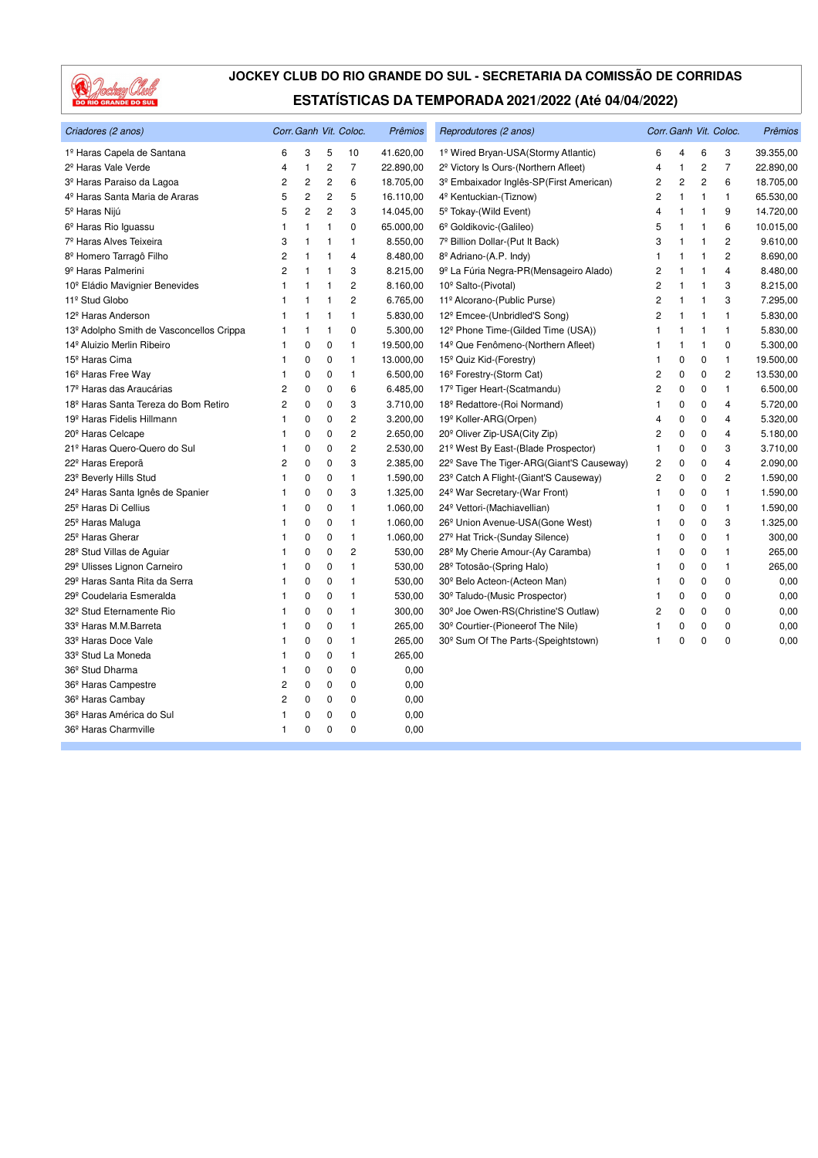

| Criadores (2 anos)                           |   |                |                | Corr. Ganh Vit. Coloc.  | Prêmios   | Reprodutores (2 anos)                             |                |                |              | Corr. Ganh Vit. Coloc. | Prêmios   |
|----------------------------------------------|---|----------------|----------------|-------------------------|-----------|---------------------------------------------------|----------------|----------------|--------------|------------------------|-----------|
| 1º Haras Capela de Santana                   | 6 | 3              | 5              | 10                      | 41.620,00 | 1º Wired Bryan-USA(Stormy Atlantic)               | 6              | $\overline{4}$ | 6            | 3                      | 39.355,00 |
| 2 <sup>º</sup> Haras Vale Verde              | 4 | $\mathbf{1}$   | $\overline{c}$ | $\overline{7}$          | 22.890,00 | 2 <sup>º</sup> Victory Is Ours-(Northern Afleet)  | 4              | $\mathbf{1}$   | 2            | $\overline{7}$         | 22.890,00 |
| 3º Haras Paraiso da Lagoa                    | 2 | $\overline{c}$ | $\overline{c}$ | 6                       | 18.705,00 | 3º Embaixador Inglês-SP(First American)           | 2              | $\overline{c}$ | 2            | 6                      | 18.705,00 |
| 4 <sup>º</sup> Haras Santa Maria de Araras   | 5 | $\overline{c}$ | $\overline{2}$ | 5                       | 16.110,00 | 4 <sup>º</sup> Kentuckian-(Tiznow)                | 2              | $\mathbf{1}$   | 1            | $\mathbf{1}$           | 65.530,00 |
| 5 <sup>°</sup> Haras Nijú                    | 5 | 2              | 2              | 3                       | 14.045,00 | 5 <sup>°</sup> Tokay-(Wild Event)                 | 4              | $\mathbf{1}$   | 1            | 9                      | 14.720,00 |
| 6 <sup>º</sup> Haras Rio Iguassu             | 1 | $\mathbf{1}$   | $\mathbf{1}$   | 0                       | 65.000,00 | 6º Goldikovic-(Galileo)                           | 5              | $\mathbf{1}$   | 1            | 6                      | 10.015,00 |
| 7º Haras Alves Teixeira                      | 3 | $\mathbf{1}$   | 1              | 1                       | 8.550,00  | 7º Billion Dollar-(Put It Back)                   | 3              | $\mathbf{1}$   | 1            | 2                      | 9.610,00  |
| 8 <sup>º</sup> Homero Tarragô Filho          | 2 | $\mathbf{1}$   | 1              | $\overline{4}$          | 8.480,00  | 8 <sup>°</sup> Adriano-(A.P. Indy)                | 1              | $\mathbf{1}$   | 1            | 2                      | 8.690,00  |
| 9 <sup>º</sup> Haras Palmerini               | 2 | $\mathbf{1}$   | $\mathbf{1}$   | 3                       | 8.215,00  | 9º La Fúria Negra-PR(Mensageiro Alado)            | 2              | $\mathbf{1}$   | 1            | 4                      | 8.480,00  |
| 10 <sup>°</sup> Eládio Mavignier Benevides   | 1 | $\mathbf{1}$   | $\overline{1}$ | $\overline{c}$          | 8.160,00  | 10 <sup>°</sup> Salto-(Pivotal)                   | 2              | $\mathbf{1}$   | 1            | 3                      | 8.215,00  |
| 11º Stud Globo                               | 1 | $\mathbf{1}$   | $\mathbf{1}$   | $\overline{c}$          | 6.765,00  | 11º Alcorano-(Public Purse)                       | 2              | $\mathbf{1}$   | 1            | 3                      | 7.295,00  |
| 12 <sup>º</sup> Haras Anderson               | 1 | $\mathbf{1}$   | $\mathbf{1}$   | $\mathbf{1}$            | 5.830,00  | 12º Emcee-(Unbridled'S Song)                      | $\overline{c}$ | $\mathbf{1}$   | $\mathbf{1}$ | $\mathbf{1}$           | 5.830,00  |
| 13º Adolpho Smith de Vasconcellos Crippa     | 1 | $\overline{1}$ | $\overline{1}$ | 0                       | 5.300,00  | 12º Phone Time-(Gilded Time (USA))                | 1              | $\mathbf{1}$   | 1            | 1                      | 5.830,00  |
| 14 <sup>º</sup> Aluizio Merlin Ribeiro       | 1 | $\mathbf 0$    | 0              | 1                       | 19.500,00 | 14 <sup>°</sup> Que Fenômeno-(Northern Afleet)    | 1              | $\mathbf{1}$   | 1            | 0                      | 5.300,00  |
| 15 <sup>º</sup> Haras Cima                   | 1 | 0              | 0              | $\mathbf{1}$            | 13.000,00 | 15 <sup>°</sup> Quiz Kid-(Forestry)               | 1              | 0              | 0            | $\mathbf{1}$           | 19.500,00 |
| 16 <sup>°</sup> Haras Free Way               | 1 | 0              | 0              | $\mathbf{1}$            | 6.500,00  | 16 <sup>°</sup> Forestry-(Storm Cat)              | 2              | $\mathbf 0$    | $\Omega$     | 2                      | 13.530,00 |
| 17 <sup>º</sup> Haras das Araucárias         | 2 | 0              | 0              | 6                       | 6.485,00  | 17º Tiger Heart-(Scatmandu)                       | 2              | 0              | 0            | 1                      | 6.500,00  |
| 18º Haras Santa Tereza do Bom Retiro         | 2 | 0              | 0              | 3                       | 3.710,00  | 18 <sup>º</sup> Redattore-(Roi Normand)           | 1              | 0              | 0            | 4                      | 5.720,00  |
| 19 <sup>º</sup> Haras Fidelis Hillmann       | 1 | 0              | 0              | 2                       | 3.200,00  | 19 <sup>°</sup> Koller-ARG(Orpen)                 | 4              | 0              | 0            | 4                      | 5.320,00  |
| 20 <sup>°</sup> Haras Celcape                | 1 | 0              | 0              | 2                       | 2.650,00  | 20 <sup>°</sup> Oliver Zip-USA(City Zip)          | 2              | 0              | 0            | 4                      | 5.180,00  |
| 21º Haras Quero-Quero do Sul                 | 1 | 0              | 0              | 2                       | 2.530,00  | 21 <sup>°</sup> West By East-(Blade Prospector)   | 1              | 0              | 0            | 3                      | 3.710,00  |
| 22 <sup>°</sup> Haras Ereporã                | 2 | 0              | 0              | 3                       | 2.385,00  | 22º Save The Tiger-ARG(Giant'S Causeway)          | 2              | 0              | 0            | 4                      | 2.090,00  |
| 23 <sup>°</sup> Beverly Hills Stud           | 1 | 0              | 0              | 1                       | 1.590,00  | 23 <sup>°</sup> Catch A Flight-(Giant'S Causeway) | 2              | 0              | 0            | 2                      | 1.590,00  |
| 24 <sup>°</sup> Haras Santa Ignês de Spanier | 1 | 0              | 0              | 3                       | 1.325,00  | 24 <sup>°</sup> War Secretary-(War Front)         | 1              | 0              | 0            | 1                      | 1.590,00  |
| 25 <sup>°</sup> Haras Di Cellius             | 1 | 0              | 0              | 1                       | 1.060,00  | 24 <sup>°</sup> Vettori-(Machiavellian)           | 1              | 0              | 0            | 1                      | 1.590,00  |
| 25 <sup>°</sup> Haras Maluga                 | 1 | 0              | 0              | 1                       | 1.060,00  | 26 <sup>°</sup> Union Avenue-USA(Gone West)       | 1              | $\mathbf 0$    | 0            | 3                      | 1.325,00  |
| 25 <sup>°</sup> Haras Gherar                 | 1 | 0              | 0              | 1                       | 1.060,00  | 27 <sup>°</sup> Hat Trick-(Sunday Silence)        | 1              | 0              | 0            | 1                      | 300,00    |
| 28 <sup>°</sup> Stud Villas de Aguiar        | 1 | 0              | 0              | $\overline{\mathbf{c}}$ | 530,00    | 28 <sup>°</sup> My Cherie Amour-(Ay Caramba)      | 1              | 0              | 0            | 1                      | 265,00    |
| 29º Ulisses Lignon Carneiro                  | 1 | 0              | 0              | 1                       | 530,00    | 28 <sup>°</sup> Totosão-(Spring Halo)             | 1              | 0              | 0            | 1                      | 265,00    |
| 29º Haras Santa Rita da Serra                | 1 | 0              | 0              | 1                       | 530,00    | 30 <sup>°</sup> Belo Acteon-(Acteon Man)          | 1              | 0              | 0            | 0                      | 0,00      |
| 29º Coudelaria Esmeralda                     | 1 | 0              | 0              | 1                       | 530,00    | 30º Taludo-(Music Prospector)                     | 1              | 0              | 0            | 0                      | 0,00      |
| 32º Stud Eternamente Rio                     | 1 | 0              | 0              | 1                       | 300,00    | 30 <sup>°</sup> Joe Owen-RS(Christine'S Outlaw)   | 2              | 0              | $\mathbf 0$  | 0                      | 0,00      |
| 33º Haras M.M.Barreta                        | 1 | 0              | 0              | 1                       | 265,00    | 30° Courtier-(Pioneerof The Nile)                 | 1              | 0              | 0            | 0                      | 0,00      |
| 33º Haras Doce Vale                          | 1 | $\mathbf 0$    | 0              | 1                       | 265,00    | 30° Sum Of The Parts-(Speightstown)               | 1              | 0              | $\mathbf 0$  | 0                      | 0,00      |
| 33 <sup>°</sup> Stud La Moneda               | 1 | 0              | 0              | 1                       | 265,00    |                                                   |                |                |              |                        |           |
| 36 <sup>°</sup> Stud Dharma                  | 1 | 0              | 0              | 0                       | 0,00      |                                                   |                |                |              |                        |           |
| 36 <sup>°</sup> Haras Campestre              | 2 | 0              | 0              | 0                       | 0,00      |                                                   |                |                |              |                        |           |
| 36 <sup>°</sup> Haras Cambay                 | 2 | 0              | 0              | 0                       | 0,00      |                                                   |                |                |              |                        |           |
| 36º Haras América do Sul                     | 1 | 0              | 0              | 0                       | 0,00      |                                                   |                |                |              |                        |           |
| 36 <sup>°</sup> Haras Charmville             | 1 | 0              | 0              | $\mathbf 0$             | 0,00      |                                                   |                |                |              |                        |           |
|                                              |   |                |                |                         |           |                                                   |                |                |              |                        |           |